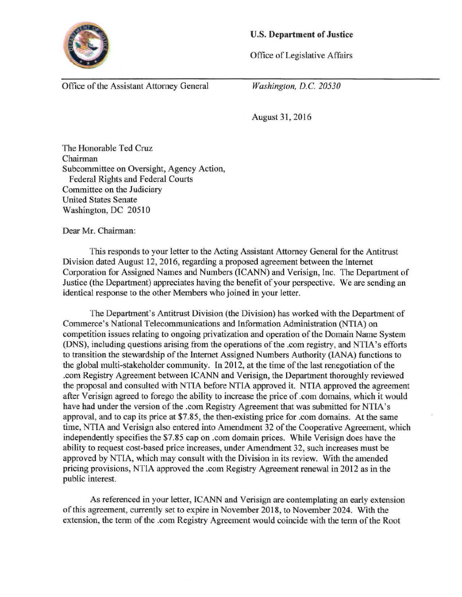

## U.S. **Department of Justice**

Office of Legislative Affairs

Office of the Assistant Attorney General

*Washington, D.C. 20530* 

August 31, 2016

The Honorable Ted Cruz Chairman Subcommittee on Oversight, Agency Action, Federal Rights and Federal Courts Committee on the Judiciary United States Senate Washington, DC 20510

Dear Mr. Chairman:

This responds to your letter to the Acting Assistant Attorney General for the Antitrust Division dated August 12, 2016, regarding a proposed agreement between the Internet Corporation for Assigned Names and Numbers (ICANN) and Verisign, Inc. The Department of Justice (the Department) appreciates having the benefit of your perspective. We are sending an identical response to the other Members who joined in your letter.

The Department's Antitrust Division (the Division) has worked with the Department of Commerce's National Telecommunications and Information Administration (NTIA) on competition issues relating to ongoing privatization and operation of the Domain Name System (DNS), including questions arising from the operations of the .com registry, and NTIA's efforts to transition the stewardship of the Internet Assigned Numbers Authority (lANA) functions to the global multi-stakeholder community. In 2012, at the time of the last renegotiation of the .com Registry Agreement between ICANN and Verisign, the Department thoroughly reviewed the proposal and consulted with NTIA before NTIA approved it. NTIA approved the agreement after Verisign agreed to forego the ability to increase the price of .com domains, which it would have had under the version of the .com Registry Agreement that was submitted for NTIA's approval, and to cap its price at \$7.85, the then-existing price for .com domains. At the same time, NTIA and Verisign also entered into Amendment 32 of the Cooperative Agreement, which independently specifies the \$7.85 cap on .com domain prices. While Verisign does have the ability to request cost-based price increases, under Amendment 32, such increases must be approved by NTIA, which may consult with the Division in its review. With the amended pricing provisions, NTlA approved the .com Registry Agreement renewal in 2012 as in the public interest.

As referenced in your letter, ICANN and Verisign are contemplating an early extension of this agreement, currently set to expire in November 2018, to November 2024. With the extension, the tenn of the .com Registry Agreement would coincide with the term of the Root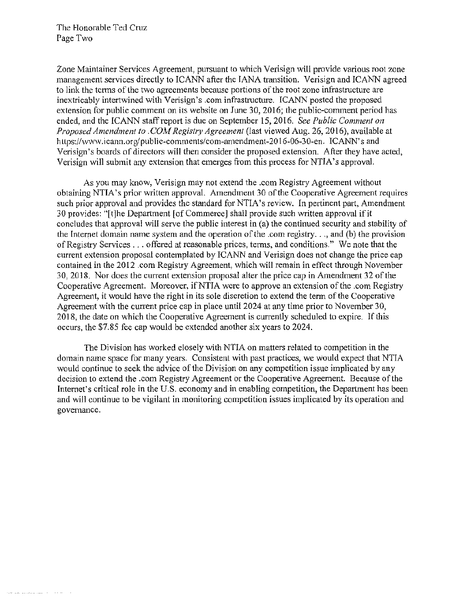Zone Maintainer Services Agreement, pursuant to which Verisign will provide various root zone management services directly to ICANN after the lANA transition. Verisign and ICANN agreed to link the terms of the two agreements because portions of the root zone infrastructure are inextricably intertwined with Verisign's .com infrastructure. ICANN posted the proposed extension for public comment on its website on June 30, 2016; the public-comment period has ended, and the ICANN staff report is due on September 15,2016. *See Public Comment on Proposed Amendment to . COM Registry Agreement* (last viewed Aug. 26, 2016), available at https://www.icann.org/public-comments/com-amendment-2016-06-30-en. ICANN's and Verisign's boards of directors will then consider the proposed extension. After they have acted, Verisign will submit any extension that emerges from this process for NTIA's approval.

As you may know, Verisign may not extend the .com Registry Agreement without obtaining NTIA's prior written approval. Amendment 30 of the Cooperative Agreement requires such prior approval and provides the standard for NTIA's review. In pertinent part, Amendment 30 provides: "[t]he Department [of Commerce] shall provide such written approval if it concludes that approval will serve the public interest in (a) the continued security and stability of the Internet domain name system and the operation of the .com registry ... , and (b) the provision of Registry Services ... offered at reasonable prices, terms, and conditions." We note that the current extension proposal contemplated by ICANN and Verisign does not change the price cap contained in the 2012 .com Registry Agreement, which will remain in effect through November 30, 2018. Nor does the current extension proposal alter the price cap in Amendment 32 of the Cooperative Agreement. Moreover, ifNTIA were to approve an extension of the .com Registry Agreement, it would have the right in its sole discretion to extend the term of the Cooperative Agreement with the current price cap in place until 2024 at any time prior to November 30, 2018, the date on which the Cooperative Agreement is currently scheduled to expire. If this occurs, the \$7.85 fee cap would be extended another six years to 2024.

The Division has worked closely with NTIA on matters related to competition in the domain name space for many years. Consistent with past practices, we would expect that NTIA would continue to seek the advice of the Division on any competition issue implicated by any decision to extend the .com Registry Agreement or the Cooperative Agreement. Because of the Internet's critical role in the U.S. economy and in enabling competition, the Department has been and will continue to be vigilant in monitoring competition issues implicated by its operation and governance.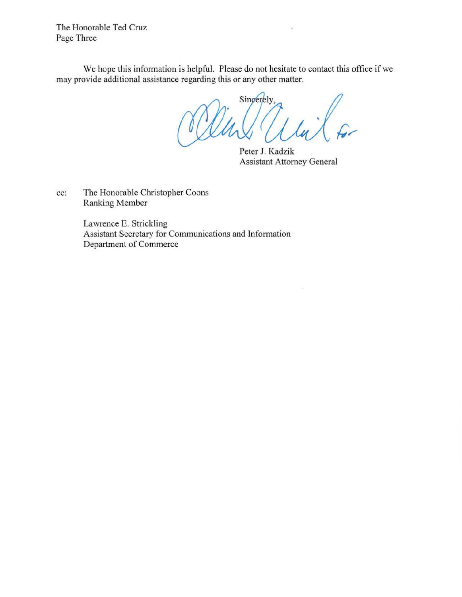The Honorable Ted Cruz Page Three

We hope this information is helpful. Please do not hesitate to contact this office if we may provide additional assistance regarding this or any other matter.

Singerely,

Peter J. Kadzik Assistant Attorney General

 $\overline{\phantom{a}}$ 

cc: The Honorable Christopher Coons Ranking Member

> Lawrence E. Strickling Assistant Secretary for Communications and Information Department of Commerce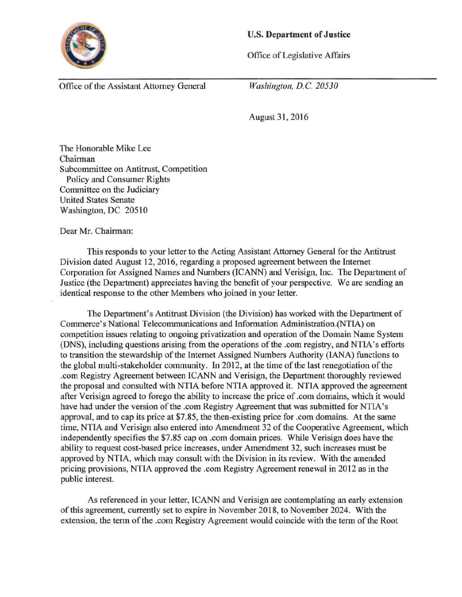

## U.S. **Department of Justice**

Office of Legislative Affairs

Office of the Assistant Attorney General

*Washington, D.C. 20530* 

August 31, 2016

The Honorable Mike Lee Chairman Subcommittee on Antitrust, Competition Policy and Consumer Rights Committee on the Judiciary United States Senate Washington, DC 20510

Dear Mr. Chairman:

This responds to your letter to the Acting Assistant Attorney General for the Antitrust Division dated August 12, 2016, regarding a proposed agreement between the Internet Corporation for Assigned Names and Numbers (ICANN) and Verisign, Inc. The Department of Justice (the Department) appreciates having the benefit of your perspective. We are sending an identical response to the other Members who joined in your letter.

The Department's Antitrust Division (the Division) has worked with the Department of Commerce's National Telecommunications and Information Administration.(NTIA) on competition issues relating to ongoing privatization and operation of the Domain Name System (DNS), including questions arising from the operations of the .com registry, and NTIA's efforts to transition the stewardship of the Internet Assigned Numbers Authority (lANA) functions to the global multi-stakeholder community. ln 2012, at the time of the last renegotiation of the .com Registry Agreement between ICANN and Verisign, the Department thoroughly reviewed the proposal and consulted with NTIA before NTIA approved it. NTIA approved the agreement after Verisign agreed to forego the ability to increase the price of .com domains, which it would have had under the version of the .com Registry Agreement that was submitted for NTIA's approval, and to cap its price at \$7.85, the then-existing price for .com domains. At the same time, NTIA and Yerisign also entered into Amendment 32 of the Cooperative Agreement, which independently specifies the \$7.85 cap on .com domain prices. While Verisign does have the ability to request cost-based price increases, under Amendment 32, such increases must be approved by NTIA, which may consult with the Division in its review. With the amended pricing provisions, NTIA approved the .com Registry Agreement renewal in 2012 as in the public interest.

As referenced in your letter, ICANN and Verisign are contemplating an early extension of this agreement, currently set to expire in November 2018, to November 2024. With the extension, the term ofthe .com Registry Agreement would coincide with the term of the Root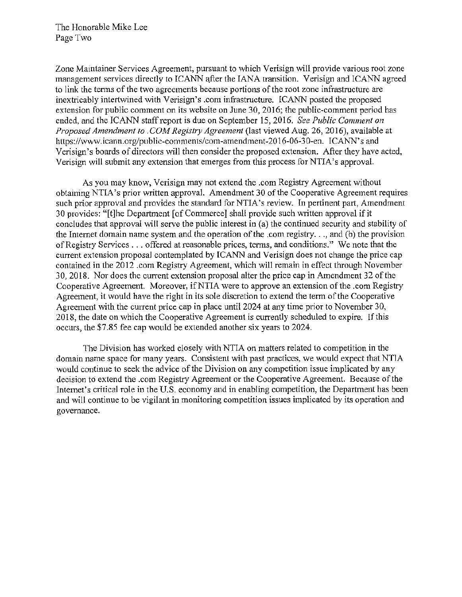Zone Maintainer Services Agreement, pursuant to which Verisign will provide various root zone management services directly to ICANN after the IANA transition. Verisign and ICANN agreed to link the terms of the two agreements because portions of the root zone infrastructure are inextricably intertwined with Verisign's .com infrastructure. ICANN posted the proposed extension for public comment on its website on June 30, 2016; the public-comment period has ended, and the ICANN staff report is due on September 15,2016. *See Public Comment on Proposed Amendment to* . *COM Registry Agreement* (last viewed Aug. 26, 2016), available at https://www.icann.org/public-comments/com-amendment-2016-06-30-en. ICANN's and Verisign's boards of directors will then consider the proposed extension. After they have acted, Verisign will submit any extension that emerges from this process for NTIA's approval.

As you may know, Verisign may not extend the .com Registry Agreement without obtaining NTIA's prior written approval. Amendment 30 of the Cooperative Agreement requires such prior approval and provides the standard for NTIA's review. In pertinent part, Amendment 30 provides: "[t]he Department [of Commerce] shall provide such written approval if it concludes that approval will serve the public interest in (a) the continued security and stability of the Internet domain name system and the operation of the .com registry ... , and (b) the provision of Registry Services ... offered at reasonable prices, tetms, and conditions." We note that the current extension proposal contemplated by ICANN and Verisign does not change the price cap contained in the 2012 .com Registry Agreement, which will remain in effect through November 30, 2018. Nor does the cunent extension proposal alter the price cap in Amendment 32 of the Cooperative Agreement. Moreover, ifNTIA were to approve an extension of the .com Registry Agreement, it would have the right in its sole discretion to extend the term of the Cooperative Agreement with the current price cap in place until 2024 at any time prior to November 30, 2018, the date on which the Cooperative Agreement is currently scheduled to expire. If this occurs, the \$7.85 fee cap would be extended another six years to 2024.

The Division has worked closely with NTIA on matters related to competition in the domain name space for many years. Consistent with past practices, we would expect that NTIA would continue to seek the advice of the Division on any competition issue implicated by any decision to extend the .com Registry Agreement or the Cooperative Agreement. Because of the Internet's critical role in the U.S. economy and in enabling competition, the Department has been and will continue to be vigilant in monitoring competition issues implicated by its operation and governance.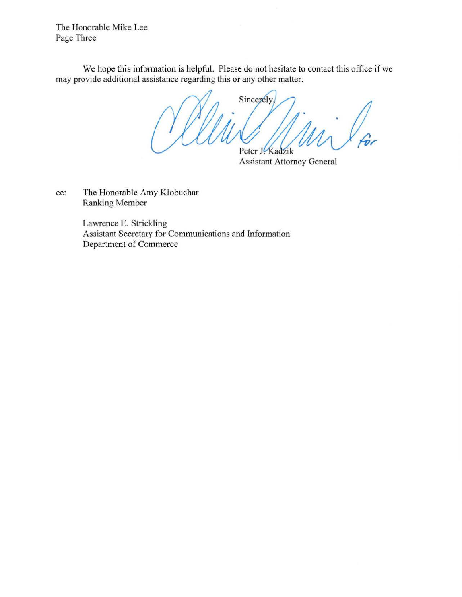The Honorable Mike Lee Page Three

We hope this information is helpful. Please do not hesitate to contact this office if we may provide additional assistance regarding this or any other matter.

Sincerely, Peter J. Kadzik Assistant Attorney General

cc: The Honorable Amy Klobuchar

Ranking Member

Lawrence E. Strickling Assistant Secretary for Communications and Information Department of Commerce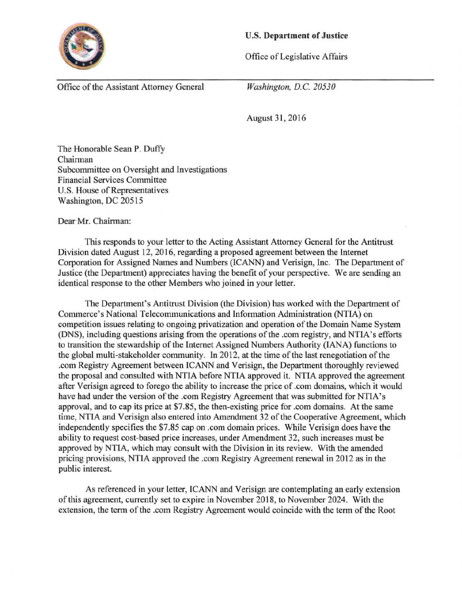

## U.S. **Department of Justice**

Office of Legislative Affairs

Office of the Assistant Attorney General

*Washington, D.C. 20530* 

August 31, 2016

The Honorable Sean P. Duffy Chairman Subcommittee on Oversight and Investigations Financial Services Committee U.S. House of Representatives Washington, DC 20515

Dear Mr. Chairman:

This responds to your letter to the Acting Assistant Attorney General for the Antitrust Division dated August 12, 2016, regarding a proposed agreement between the Internet Corporation for Assigned Names and Numbers (ICANN) and Verisign, Inc. The Department of Justice (the Department) appreciates having the benefit of your perspective. We are sending an identical response to the other Members who joined in your letter.

The Department's Antitrust Division (the Division) has worked with the Department of Commerce's National Telecommunications and Information Administration (NTIA) on competition issues relating to ongoing privatization and operation of the Domain Name System (DNS), including questions arising from the operations of the .com registry, and NTIA's efforts to transition the stewardship of the Internet Assigned Numbers Authority (lANA) functions to the global multi-stakeholder community. ln 2012, at the time of the last renegotiation of the .com Registry Agreement between ICANN and Verisign, the Department thoroughly reviewed the proposal and consulted with NTIA before NTIA approved it. NTIA approved the agreement after Verisign agreed to forego the ability to increase the price of .com domains, which it would have had under the version of the .com Registry Agreement that was submitted for NTIA's approval, and to cap its price at \$7.85, the then-existing price for .com domains. At the same time, NTIA and Verisign also entered into Amendment 32 of the Cooperative Agreement, which independently specifies the \$7.85 cap on .com domain prices. While Verisign does have the ability to request cost-based price increases, under Amendment 32, such increases must be approved by NTIA, which may consult with the Division in its review. With the amended pricing provisions, NTIA approved the .com Registry Agreement renewal in 2012 as in the public interest.

As referenced in your letter, ICANN and Verisign are contemplating an early extension of this agreement, currently set to expire in November 2018, to November 2024. With the extension, the term of the .com Registry Agreement would coincide with the term of the Root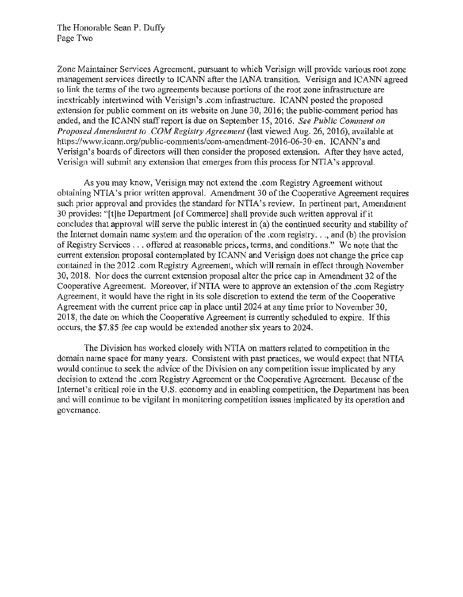Zone Maintainer Services Agreement, pursuant to which Verisign will provide various root zone management services directly to ICANN after the lANA transition. Verisign and ICANN agreed to link the terms of the two agreements because portions of the root zone infrastructure are inextricably intertwined with Verisign's .com infrastructure. ICANN posted the proposed extension for public comment on its website on June 30, 2016; the public-comment period has ended, and the ICANN staff report is due on September 15,2016. *See Public Comment on Proposed Amendment to* . *COM Registry Agreement* (last viewed Aug. 26, 2016), available at https://www.icann.org/public-comments/com-amendment-2016-06-30-en. ICANN's and Verisign's boards of directors will then consider the proposed extension. After they have acted, Verisign will submit any extension that emerges from this process for NTIA's approval.

As you may know, Verisign may not extend the .com Registry Agreement without obtaining NTIA's prior written approval. Amendment 30 of the Cooperative Agreement requires such prior approval and provides the standard for NTIA's review. In pertinent part, Amendment 30 provides: "[t]he Department [of Commerce] shall provide such written approval if it concludes that approval will serve the public interest in (a) the continued security and stability of the Internet domain name system and the operation of the .com registry.  $\ldots$  and (b) the provision of Registry Services . . . offered at reasonable prices, terms, and conditions." We note that the current extension proposal contemplated by ICANN and Verisign does not change the price cap contained in the 2012 .com Registry Agreement, which will remain in effect through November 30, 2018. Nor does the current extension proposal alter the price cap in Amendment 32 of the Cooperative Agreement. Moreover, ifNTIA were to approve an extension of the .com Registry Agreement, it would have the right in its sole discretion to extend the term of the Cooperative Agreement with the current price cap in place until2024 at any time prior to November 30, 2018, the date on which the Cooperative Agreement is currently scheduled to expire. If this occurs, the \$7.85 fee cap would be extended another six years to 2024.

The Division has worked closely with NTIA on matters related to competition in the domain name space for many years. Consistent with past practices, we would expect that NTIA would continue to seek the advice of the Division on any competition issue implicated by any decision to extend the .com Registry Agreement or the Cooperative Agreement. Because of the Internet's critical role in the U.S. economy and in enabling competition, the Department has been and will continue to be vigilant in monitoring competition issues implicated by its operation and governance.